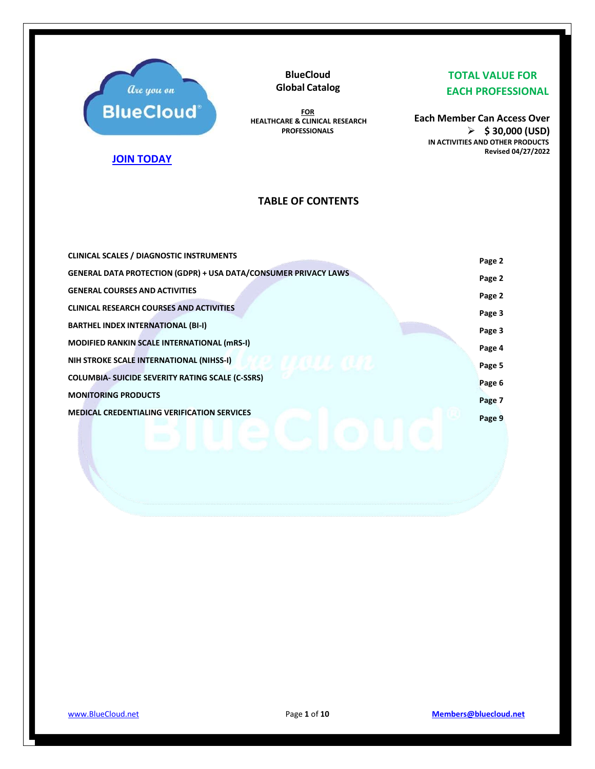

**BlueCloud Global Catalog**

**FOR HEALTHCARE & CLINICAL RESEARCH PROFESSIONALS**

## **TOTAL VALUE FOR EACH PROFESSIONAL**

**Each Member Can Access Over** ➢ **\$ 30,000 (USD) IN ACTIVITIES AND OTHER PRODUCTS Revised 04/27/2022**

## **[JOIN TODAY](https://secure.bluecloud.net/members)**

## **TABLE OF CONTENTS**

| <b>CLINICAL SCALES / DIAGNOSTIC INSTRUMENTS</b>                        | Page 2 |
|------------------------------------------------------------------------|--------|
| <b>GENERAL DATA PROTECTION (GDPR) + USA DATA/CONSUMER PRIVACY LAWS</b> | Page 2 |
| <b>GENERAL COURSES AND ACTIVITIES</b>                                  | Page 2 |
| <b>CLINICAL RESEARCH COURSES AND ACTIVITIES</b>                        | Page 3 |
| <b>BARTHEL INDEX INTERNATIONAL (BI-I)</b>                              | Page 3 |
| <b>MODIFIED RANKIN SCALE INTERNATIONAL (mRS-I)</b>                     | Page 4 |
| NIH STROKE SCALE INTERNATIONAL (NIHSS-I)                               | Page 5 |
| <b>COLUMBIA- SUICIDE SEVERITY RATING SCALE (C-SSRS)</b>                | Page 6 |
| <b>MONITORING PRODUCTS</b>                                             |        |
| <b>MEDICAL CREDENTIALING VERIFICATION SERVICES</b>                     | Page 7 |
|                                                                        | Page 9 |
|                                                                        |        |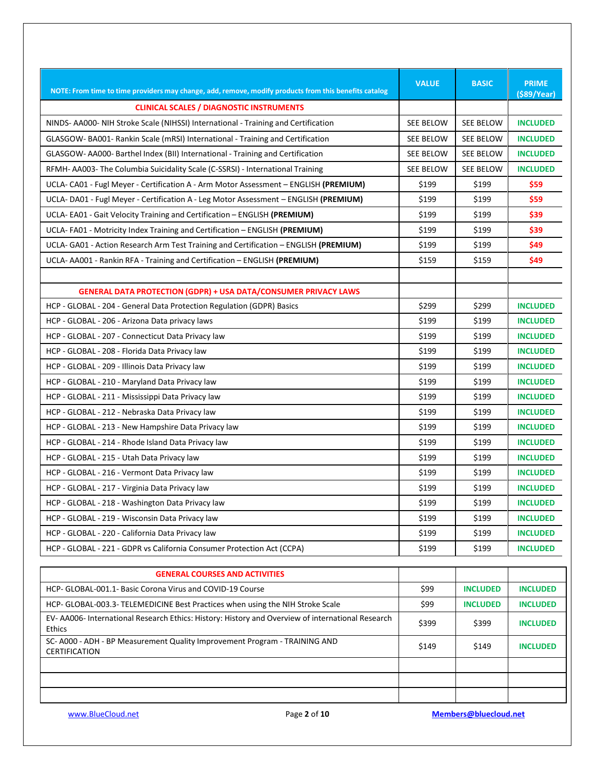| NOTE: From time to time providers may change, add, remove, modify products from this benefits catalog      | <b>VALUE</b>     | <b>BASIC</b>     | <b>PRIME</b><br>$($ \$89/Year) |
|------------------------------------------------------------------------------------------------------------|------------------|------------------|--------------------------------|
| <b>CLINICAL SCALES / DIAGNOSTIC INSTRUMENTS</b>                                                            |                  |                  |                                |
| NINDS-AA000- NIH Stroke Scale (NIHSSI) International - Training and Certification                          | <b>SEE BELOW</b> | SEE BELOW        | <b>INCLUDED</b>                |
| GLASGOW-BA001- Rankin Scale (mRSI) International - Training and Certification                              | <b>SEE BELOW</b> | SEE BELOW        | <b>INCLUDED</b>                |
| GLASGOW-AA000- Barthel Index (BII) International - Training and Certification                              | SEE BELOW        | <b>SEE BELOW</b> | <b>INCLUDED</b>                |
| RFMH- AA003- The Columbia Suicidality Scale (C-SSRSI) - International Training                             | SEE BELOW        | <b>SEE BELOW</b> | <b>INCLUDED</b>                |
| UCLA- CA01 - Fugl Meyer - Certification A - Arm Motor Assessment - ENGLISH (PREMIUM)                       | \$199            | \$199            | \$59                           |
| UCLA-DA01 - Fugl Meyer - Certification A - Leg Motor Assessment - ENGLISH (PREMIUM)                        | \$199            | \$199            | \$59                           |
| UCLA-EA01 - Gait Velocity Training and Certification - ENGLISH (PREMIUM)                                   | \$199            | \$199            | \$39                           |
| UCLA-FA01 - Motricity Index Training and Certification - ENGLISH (PREMIUM)                                 | \$199            | \$199            | \$39                           |
| UCLA- GA01 - Action Research Arm Test Training and Certification - ENGLISH (PREMIUM)                       | \$199            | \$199            | \$49                           |
| UCLA-AA001 - Rankin RFA - Training and Certification - ENGLISH (PREMIUM)                                   | \$159            | \$159            | \$49                           |
|                                                                                                            |                  |                  |                                |
| <b>GENERAL DATA PROTECTION (GDPR) + USA DATA/CONSUMER PRIVACY LAWS</b>                                     |                  |                  |                                |
| HCP - GLOBAL - 204 - General Data Protection Regulation (GDPR) Basics                                      | \$299            | \$299            | <b>INCLUDED</b>                |
| HCP - GLOBAL - 206 - Arizona Data privacy laws                                                             | \$199            | \$199            | <b>INCLUDED</b>                |
| HCP - GLOBAL - 207 - Connecticut Data Privacy law                                                          | \$199            | \$199            | <b>INCLUDED</b>                |
| HCP - GLOBAL - 208 - Florida Data Privacy law                                                              | \$199            | \$199            | <b>INCLUDED</b>                |
| HCP - GLOBAL - 209 - Illinois Data Privacy law                                                             | \$199            | \$199            | <b>INCLUDED</b>                |
| HCP - GLOBAL - 210 - Maryland Data Privacy law                                                             | \$199            | \$199            | <b>INCLUDED</b>                |
| HCP - GLOBAL - 211 - Mississippi Data Privacy law                                                          | \$199            | \$199            | <b>INCLUDED</b>                |
| HCP - GLOBAL - 212 - Nebraska Data Privacy law                                                             | \$199            | \$199            | <b>INCLUDED</b>                |
| HCP - GLOBAL - 213 - New Hampshire Data Privacy law                                                        | \$199            | \$199            | <b>INCLUDED</b>                |
| HCP - GLOBAL - 214 - Rhode Island Data Privacy law                                                         | \$199            | \$199            | <b>INCLUDED</b>                |
| HCP - GLOBAL - 215 - Utah Data Privacy law                                                                 | \$199            | \$199            | <b>INCLUDED</b>                |
| HCP - GLOBAL - 216 - Vermont Data Privacy law                                                              | \$199            | \$199            | <b>INCLUDED</b>                |
| HCP - GLOBAL - 217 - Virginia Data Privacy law                                                             | \$199            | \$199            | <b>INCLUDED</b>                |
| HCP - GLOBAL - 218 - Washington Data Privacy law                                                           | \$199            | \$199            | <b>INCLUDED</b>                |
| HCP - GLOBAL - 219 - Wisconsin Data Privacy law                                                            | \$199            | \$199            | <b>INCLUDED</b>                |
| HCP - GLOBAL - 220 - California Data Privacy law                                                           | \$199            | \$199            | <b>INCLUDED</b>                |
| HCP - GLOBAL - 221 - GDPR vs California Consumer Protection Act (CCPA)                                     | \$199            | \$199            | <b>INCLUDED</b>                |
|                                                                                                            |                  |                  |                                |
| <b>GENERAL COURSES AND ACTIVITIES</b>                                                                      |                  |                  |                                |
| HCP- GLOBAL-001.1- Basic Corona Virus and COVID-19 Course                                                  | \$99             | <b>INCLUDED</b>  | <b>INCLUDED</b>                |
| HCP- GLOBAL-003.3- TELEMEDICINE Best Practices when using the NIH Stroke Scale                             | \$99             | <b>INCLUDED</b>  | <b>INCLUDED</b>                |
| EV-AA006- International Research Ethics: History: History and Overview of international Research<br>Ethics | \$399            | \$399            | <b>INCLUDED</b>                |
| SC- A000 - ADH - BP Measurement Quality Improvement Program - TRAINING AND<br>CERTIFICATION                | \$149            | \$149            | <b>INCLUDED</b>                |
|                                                                                                            |                  |                  |                                |
|                                                                                                            |                  |                  |                                |
|                                                                                                            |                  |                  |                                |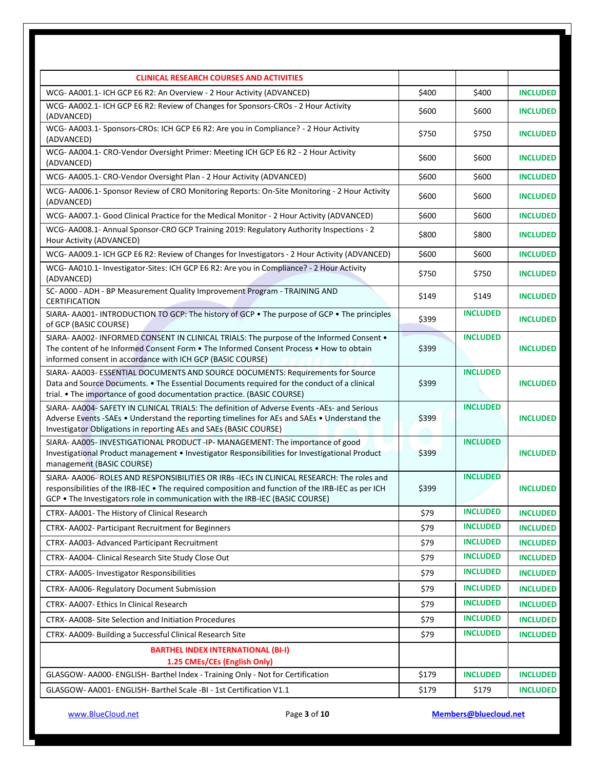| <b>CLINICAL RESEARCH COURSES AND ACTIVITIES</b>                                                                                                                                                                                                                                  |       |                 |                 |
|----------------------------------------------------------------------------------------------------------------------------------------------------------------------------------------------------------------------------------------------------------------------------------|-------|-----------------|-----------------|
| WCG- AA001.1- ICH GCP E6 R2: An Overview - 2 Hour Activity (ADVANCED)                                                                                                                                                                                                            | \$400 | \$400           | <b>INCLUDED</b> |
| WCG- AA002.1- ICH GCP E6 R2: Review of Changes for Sponsors-CROs - 2 Hour Activity<br>(ADVANCED)                                                                                                                                                                                 | \$600 | \$600           | <b>INCLUDED</b> |
| WCG- AA003.1- Sponsors-CROs: ICH GCP E6 R2: Are you in Compliance? - 2 Hour Activity<br>(ADVANCED)                                                                                                                                                                               | \$750 | \$750           | <b>INCLUDED</b> |
| WCG- AA004.1- CRO-Vendor Oversight Primer: Meeting ICH GCP E6 R2 - 2 Hour Activity<br>(ADVANCED)                                                                                                                                                                                 | \$600 | \$600           | <b>INCLUDED</b> |
| WCG-AA005.1- CRO-Vendor Oversight Plan - 2 Hour Activity (ADVANCED)                                                                                                                                                                                                              | \$600 | \$600           | <b>INCLUDED</b> |
| WCG- AA006.1- Sponsor Review of CRO Monitoring Reports: On-Site Monitoring - 2 Hour Activity<br>(ADVANCED)                                                                                                                                                                       | \$600 | \$600           | <b>INCLUDED</b> |
| WCG-AA007.1- Good Clinical Practice for the Medical Monitor - 2 Hour Activity (ADVANCED)                                                                                                                                                                                         | \$600 | \$600           | <b>INCLUDED</b> |
| WCG- AA008.1- Annual Sponsor-CRO GCP Training 2019: Regulatory Authority Inspections - 2<br>Hour Activity (ADVANCED)                                                                                                                                                             | \$800 | \$800           | <b>INCLUDED</b> |
| WCG- AA009.1- ICH GCP E6 R2: Review of Changes for Investigators - 2 Hour Activity (ADVANCED)                                                                                                                                                                                    | \$600 | \$600           | <b>INCLUDED</b> |
| WCG- AA010.1- Investigator-Sites: ICH GCP E6 R2: Are you in Compliance? - 2 Hour Activity<br>(ADVANCED)                                                                                                                                                                          | \$750 | \$750           | <b>INCLUDED</b> |
| SC- A000 - ADH - BP Measurement Quality Improvement Program - TRAINING AND<br>CERTIFICATION                                                                                                                                                                                      | \$149 | \$149           | <b>INCLUDED</b> |
| SIARA-AA001- INTRODUCTION TO GCP: The history of GCP . The purpose of GCP . The principles<br>of GCP (BASIC COURSE)                                                                                                                                                              | \$399 | <b>INCLUDED</b> | <b>INCLUDED</b> |
| SIARA-AA002-INFORMED CONSENT IN CLINICAL TRIALS: The purpose of the Informed Consent .<br>The content of he Informed Consent Form . The Informed Consent Process . How to obtain<br>informed consent in accordance with ICH GCP (BASIC COURSE)                                   | \$399 | <b>INCLUDED</b> | <b>INCLUDED</b> |
| SIARA- AA003- ESSENTIAL DOCUMENTS AND SOURCE DOCUMENTS: Requirements for Source<br>Data and Source Documents. • The Essential Documents required for the conduct of a clinical<br>trial. • The importance of good documentation practice. (BASIC COURSE)                         | \$399 | <b>INCLUDED</b> | <b>INCLUDED</b> |
| SIARA- AA004- SAFETY IN CLINICAL TRIALS: The definition of Adverse Events -AEs- and Serious<br>Adverse Events -SAEs . Understand the reporting timelines for AEs and SAEs . Understand the<br>Investigator Obligations in reporting AEs and SAEs (BASIC COURSE)                  | \$399 | <b>INCLUDED</b> | <b>INCLUDED</b> |
| SIARA- AA005- INVESTIGATIONAL PRODUCT -IP- MANAGEMENT: The importance of good<br>Investigational Product management . Investigator Responsibilities for Investigational Product<br>management (BASIC COURSE)                                                                     | \$399 | <b>INCLUDED</b> | <b>INCLUDED</b> |
| SIARA- AA006- ROLES AND RESPONSIBILITIES OR IRBS -IECs IN CLINICAL RESEARCH: The roles and<br>responsibilities of the IRB-IEC . The required composition and function of the IRB-IEC as per ICH<br>GCP . The Investigators role in communication with the IRB-IEC (BASIC COURSE) | \$399 | <b>INCLUDED</b> | <b>INCLUDED</b> |
| CTRX- AA001- The History of Clinical Research                                                                                                                                                                                                                                    | \$79  | <b>INCLUDED</b> | <b>INCLUDED</b> |
| CTRX- AA002- Participant Recruitment for Beginners                                                                                                                                                                                                                               | \$79  | <b>INCLUDED</b> | <b>INCLUDED</b> |
| CTRX- AA003- Advanced Participant Recruitment                                                                                                                                                                                                                                    | \$79  | <b>INCLUDED</b> | <b>INCLUDED</b> |
| CTRX- AA004- Clinical Research Site Study Close Out                                                                                                                                                                                                                              | \$79  | <b>INCLUDED</b> | <b>INCLUDED</b> |
| CTRX-AA005- Investigator Responsibilities                                                                                                                                                                                                                                        | \$79  | <b>INCLUDED</b> | <b>INCLUDED</b> |
| CTRX-AA006-Regulatory Document Submission                                                                                                                                                                                                                                        | \$79  | <b>INCLUDED</b> | <b>INCLUDED</b> |
| CTRX- AA007- Ethics In Clinical Research                                                                                                                                                                                                                                         | \$79  | <b>INCLUDED</b> | <b>INCLUDED</b> |
| CTRX-AA008-Site Selection and Initiation Procedures                                                                                                                                                                                                                              | \$79  | <b>INCLUDED</b> | <b>INCLUDED</b> |
| CTRX-AA009- Building a Successful Clinical Research Site                                                                                                                                                                                                                         | \$79  | <b>INCLUDED</b> | <b>INCLUDED</b> |
| <b>BARTHEL INDEX INTERNATIONAL (BI-I)</b><br>1.25 CMEs/CEs (English Only)                                                                                                                                                                                                        |       |                 |                 |
| GLASGOW-AA000-ENGLISH-Barthel Index - Training Only - Not for Certification                                                                                                                                                                                                      | \$179 | <b>INCLUDED</b> | <b>INCLUDED</b> |
| GLASGOW-AA001-ENGLISH-Barthel Scale -BI - 1st Certification V1.1                                                                                                                                                                                                                 | \$179 | \$179           | <b>INCLUDED</b> |
|                                                                                                                                                                                                                                                                                  |       |                 |                 |

[www.BlueCloud.net](http://www.bluecloud.net/) Page **3** of **10 [Members@bluecloud.net](mailto:Members@bluecloud.net)**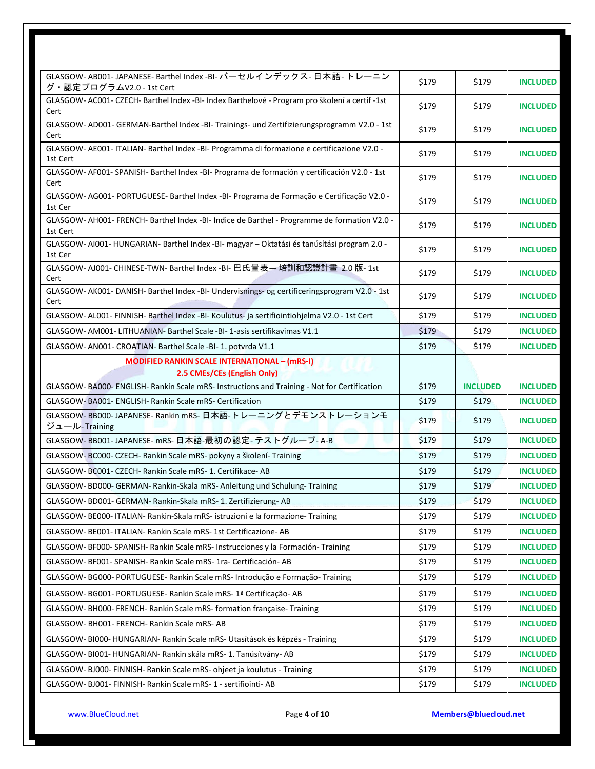| GLASGOW-AB001-JAPANESE-Barthel Index -BI- バーセルインデックス-日本語-トレーニン<br>グ·認定プログラムV2.0 - 1st Cert            | \$179 | \$179           | <b>INCLUDED</b> |
|-------------------------------------------------------------------------------------------------------|-------|-----------------|-----------------|
| GLASGOW-AC001-CZECH-Barthel Index -BI- Index Barthelové - Program pro školení a certif -1st<br>Cert   | \$179 | \$179           | <b>INCLUDED</b> |
| GLASGOW-AD001- GERMAN-Barthel Index -BI- Trainings- und Zertifizierungsprogramm V2.0 - 1st<br>Cert    | \$179 | \$179           | <b>INCLUDED</b> |
| GLASGOW-AE001-ITALIAN-Barthel Index -BI- Programma di formazione e certificazione V2.0 -<br>1st Cert  | \$179 | \$179           | <b>INCLUDED</b> |
| GLASGOW-AF001-SPANISH-Barthel Index -BI- Programa de formación y certificación V2.0 - 1st<br>Cert     | \$179 | \$179           | <b>INCLUDED</b> |
| GLASGOW-AG001- PORTUGUESE- Barthel Index -BI- Programa de Formação e Certificação V2.0 -<br>1st Cer   | \$179 | \$179           | <b>INCLUDED</b> |
| GLASGOW-AH001-FRENCH-Barthel Index -BI- Indice de Barthel - Programme de formation V2.0 -<br>1st Cert | \$179 | \$179           | <b>INCLUDED</b> |
| GLASGOW-AI001-HUNGARIAN-Barthel Index -BI- magyar - Oktatási és tanúsítási program 2.0 -<br>1st Cer   | \$179 | \$179           | <b>INCLUDED</b> |
| GLASGOW-AJ001- CHINESE-TWN- Barthel Index -BI- 巴氏量表— 培訓和認證計畫 2.0 版- 1st<br>Cert                       | \$179 | \$179           | <b>INCLUDED</b> |
| GLASGOW-AK001-DANISH-Barthel Index -BI-Undervisnings- og certificeringsprogram V2.0 - 1st<br>Cert     | \$179 | \$179           | <b>INCLUDED</b> |
| GLASGOW-AL001-FINNISH-Barthel Index -BI-Koulutus- ja sertifiointiohjelma V2.0 - 1st Cert              | \$179 | \$179           | <b>INCLUDED</b> |
| GLASGOW-AM001-LITHUANIAN-Barthel Scale -BI-1-asis sertifikavimas V1.1                                 | \$179 | \$179           | <b>INCLUDED</b> |
| GLASGOW- AN001- CROATIAN- Barthel Scale -BI- 1. potvrda V1.1                                          | \$179 | \$179           | <b>INCLUDED</b> |
| <b>MODIFIED RANKIN SCALE INTERNATIONAL - (mRS-I)</b><br>2.5 CMEs/CEs (English Only)                   |       |                 |                 |
| GLASGOW-BA000-ENGLISH-Rankin Scale mRS-Instructions and Training - Not for Certification              | \$179 | <b>INCLUDED</b> | <b>INCLUDED</b> |
| GLASGOW- BA001- ENGLISH- Rankin Scale mRS- Certification                                              | \$179 | \$179           | <b>INCLUDED</b> |
| GLASGOW-BB000-JAPANESE-Rankin mRS-日本語-トレーニングとデモンストレーションモ<br>ジュール-Training                             | \$179 | \$179           | <b>INCLUDED</b> |
| GLASGOW-BB001-JAPANESE-mRS-日本語-最初の認定-テストグループ-A-B                                                      | \$179 | \$179           | <b>INCLUDED</b> |
| GLASGOW- BC000- CZECH- Rankin Scale mRS- pokyny a školení- Training                                   | \$179 | \$179           | <b>INCLUDED</b> |
| GLASGOW-BC001-CZECH-Rankin Scale mRS-1. Certifikace-AB                                                | \$179 | \$179           | <b>INCLUDED</b> |
| GLASGOW- BD000- GERMAN- Rankin-Skala mRS- Anleitung und Schulung- Training                            | \$179 | \$179           | <b>INCLUDED</b> |
| GLASGOW- BD001- GERMAN- Rankin-Skala mRS- 1. Zertifizierung- AB                                       | \$179 | \$179           | <b>INCLUDED</b> |
| GLASGOW-BE000-ITALIAN-Rankin-Skala mRS-istruzioni e la formazione-Training                            | \$179 | \$179           | <b>INCLUDED</b> |
| GLASGOW- BE001- ITALIAN- Rankin Scale mRS- 1st Certificazione- AB                                     | \$179 | \$179           | <b>INCLUDED</b> |
| GLASGOW- BF000- SPANISH- Rankin Scale mRS- Instrucciones y la Formación- Training                     | \$179 | \$179           | <b>INCLUDED</b> |
| GLASGOW- BF001- SPANISH- Rankin Scale mRS- 1ra- Certificación- AB                                     | \$179 | \$179           | <b>INCLUDED</b> |
| GLASGOW-BG000-PORTUGUESE- Rankin Scale mRS- Introdução e Formação-Training                            | \$179 | \$179           | <b>INCLUDED</b> |
| GLASGOW- BG001- PORTUGUESE- Rankin Scale mRS- 1ª Certificação- AB                                     | \$179 | \$179           | <b>INCLUDED</b> |
| GLASGOW- BH000- FRENCH- Rankin Scale mRS- formation française- Training                               | \$179 | \$179           | <b>INCLUDED</b> |
| GLASGOW- BH001- FRENCH- Rankin Scale mRS- AB                                                          | \$179 | \$179           | <b>INCLUDED</b> |
| GLASGOW- BI000- HUNGARIAN- Rankin Scale mRS- Utasítások és képzés - Training                          | \$179 | \$179           | <b>INCLUDED</b> |
| GLASGOW- BI001- HUNGARIAN- Rankin skála mRS- 1. Tanúsítvány- AB                                       | \$179 | \$179           | <b>INCLUDED</b> |
| GLASGOW- BJ000- FINNISH- Rankin Scale mRS- ohjeet ja koulutus - Training                              | \$179 | \$179           | <b>INCLUDED</b> |
| GLASGOW- BJ001- FINNISH- Rankin Scale mRS- 1 - sertifiointi- AB                                       | \$179 | \$179           | <b>INCLUDED</b> |
|                                                                                                       |       |                 |                 |

[www.BlueCloud.net](http://www.bluecloud.net/) Page **4** of **10 [Members@bluecloud.net](mailto:Members@bluecloud.net)**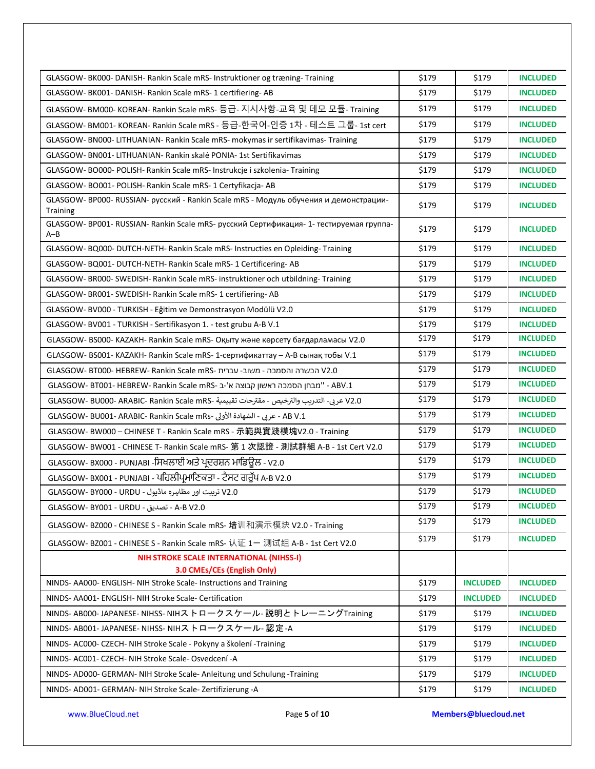| GLASGOW- BK000- DANISH- Rankin Scale mRS- Instruktioner og træning- Training                             | \$179 | \$179           | <b>INCLUDED</b> |
|----------------------------------------------------------------------------------------------------------|-------|-----------------|-----------------|
| GLASGOW- BK001- DANISH- Rankin Scale mRS- 1 certifiering- AB                                             | \$179 | \$179           | <b>INCLUDED</b> |
| GLASGOW- BM000- KOREAN- Rankin Scale mRS- 등급- 지시사항-교육 및 데모 모듈- Training                                  | \$179 | \$179           | <b>INCLUDED</b> |
| GLASGOW- BM001- KOREAN- Rankin Scale mRS - 등급-한국어-인증 1차 - 테스트 그룹- 1st cert                               | \$179 | \$179           | <b>INCLUDED</b> |
| GLASGOW- BN000- LITHUANIAN- Rankin Scale mRS- mokymas ir sertifikavimas- Training                        | \$179 | \$179           | <b>INCLUDED</b> |
| GLASGOW- BN001- LITHUANIAN- Rankin skalė PONIA- 1st Sertifikavimas                                       | \$179 | \$179           | <b>INCLUDED</b> |
| GLASGOW-BO000-POLISH-Rankin Scale mRS-Instrukcje i szkolenia-Training                                    | \$179 | \$179           | <b>INCLUDED</b> |
| GLASGOW- BO001- POLISH- Rankin Scale mRS- 1 Certyfikacja- AB                                             | \$179 | \$179           | <b>INCLUDED</b> |
| GLASGOW- BP000- RUSSIAN- русский - Rankin Scale mRS - Модуль обучения и демонстрации-<br><b>Training</b> | \$179 | \$179           | <b>INCLUDED</b> |
| GLASGOW- BP001- RUSSIAN- Rankin Scale mRS- русский Сертификация- 1- тестируемая группа-<br>$A - B$       | \$179 | \$179           | <b>INCLUDED</b> |
| GLASGOW- BQ000- DUTCH-NETH- Rankin Scale mRS- Instructies en Opleiding- Training                         | \$179 | \$179           | <b>INCLUDED</b> |
| GLASGOW-BQ001-DUTCH-NETH-Rankin Scale mRS-1 Certificering-AB                                             | \$179 | \$179           | <b>INCLUDED</b> |
| GLASGOW- BR000- SWEDISH- Rankin Scale mRS- instruktioner och utbildning- Training                        | \$179 | \$179           | <b>INCLUDED</b> |
| GLASGOW- BR001- SWEDISH- Rankin Scale mRS- 1 certifiering- AB                                            | \$179 | \$179           | <b>INCLUDED</b> |
| GLASGOW-BV000 - TURKISH - Eğitim ve Demonstrasyon Modülü V2.0                                            | \$179 | \$179           | <b>INCLUDED</b> |
| GLASGOW- BV001 - TURKISH - Sertifikasyon 1. - test grubu A-B V.1                                         | \$179 | \$179           | <b>INCLUDED</b> |
| GLASGOW-BS000-KAZAKH-Rankin Scale mRS- Оқыту және көрсету бағдарламасы V2.0                              | \$179 | \$179           | <b>INCLUDED</b> |
| GLASGOW- BS001- KAZAKH- Rankin Scale mRS- 1-сертификаттау - А-В сынақ тобы V.1                           | \$179 | \$179           | <b>INCLUDED</b> |
| V2.0 הכשרה והסמכה - משוב- עברית -GLASGOW- BT000- HEBREW- Rankin Scale mRS                                | \$179 | \$179           | <b>INCLUDED</b> |
| GLASGOW- BT001- HEBREW- Rankin Scale mRS- ב- "מבחן הסמכה ראשון קבוצה א'-ב-ABV.1                          | \$179 | \$179           | <b>INCLUDED</b> |
| V2.0 عربي- التدريب والترخيص - مقترحات تقييمية -GLASGOW- BU000- ARABIC- Rankin Scale mRS                  | \$179 | \$179           | <b>INCLUDED</b> |
| AB V.1 - عربي - الشهادة الأولى -GLASGOW- BU001- ARABIC- Rankin Scale mRs                                 | \$179 | \$179           | <b>INCLUDED</b> |
| GLASGOW-BW000 - CHINESE T - Rankin Scale mRS - 示範與實踐模塊V2.0 - Training                                    | \$179 | \$179           | <b>INCLUDED</b> |
| GLASGOW-BW001 - CHINESE T- Rankin Scale mRS- 第 1 次認證 - 測試群組 A-B - 1st Cert V2.0                          | \$179 | \$179           | <b>INCLUDED</b> |
| GLASGOW- BX000 - PUNJABI -ਸਿਖਲਾਈ ਅਤੇ ਪ੍ਰਦਰਸ਼ਨ ਮਾਡਿਊਲ - V2.0                                              | \$179 | \$179           | <b>INCLUDED</b> |
| GLASGOW- BX001 - PUNJABI - ਪਹਿਲੀਪ੍ਰਮਾਣਿਕਤਾ - ਟੈਸਟ ਗਰੁੱਪ A-B V2.0                                         | \$179 | \$179           | <b>INCLUDED</b> |
| V2.0 تربیت اور مظاہرہ ماڈیول - GLASGOW- BY000 - URDU                                                     | \$179 | \$179           | <b>INCLUDED</b> |
| A-B V2.0 - تصديق - GLASGOW- BY001 - URDU                                                                 | \$179 | \$179           | <b>INCLUDED</b> |
| GLASGOW- BZ000 - CHINESE S - Rankin Scale mRS- 培训和演示模块 V2.0 - Training                                   | \$179 | \$179           | <b>INCLUDED</b> |
| GLASGOW- BZ001 - CHINESE S - Rankin Scale mRS- 认证 1- 测试组 A-B - 1st Cert V2.0                             | \$179 | \$179           | <b>INCLUDED</b> |
| <b>NIH STROKE SCALE INTERNATIONAL (NIHSS-I)</b>                                                          |       |                 |                 |
| 3.0 CMEs/CEs (English Only)                                                                              |       |                 |                 |
| NINDS- AA000- ENGLISH- NIH Stroke Scale- Instructions and Training                                       | \$179 | <b>INCLUDED</b> | <b>INCLUDED</b> |
| NINDS- AA001- ENGLISH- NIH Stroke Scale- Certification                                                   | \$179 | <b>INCLUDED</b> | <b>INCLUDED</b> |
| NINDS-AB000-JAPANESE-NIHSS-NIHストロークスケール- 説明とトレーニングTraining                                               | \$179 | \$179           | <b>INCLUDED</b> |
| NINDS-AB001-JAPANESE-NIHSS-NIHストロークスケール-認定-A                                                             | \$179 | \$179           | <b>INCLUDED</b> |
| NINDS- AC000- CZECH- NIH Stroke Scale - Pokyny a školení -Training                                       | \$179 | \$179           | <b>INCLUDED</b> |
| NINDS- AC001- CZECH- NIH Stroke Scale- Osvedcení -A                                                      | \$179 | \$179           | <b>INCLUDED</b> |
| NINDS- AD000- GERMAN- NIH Stroke Scale- Anleitung und Schulung - Training                                | \$179 | \$179           | <b>INCLUDED</b> |
| NINDS- AD001- GERMAN- NIH Stroke Scale- Zertifizierung -A                                                | \$179 | \$179           | <b>INCLUDED</b> |

[www.BlueCloud.net](http://www.bluecloud.net/) Page **5** of **10 [Members@bluecloud.net](mailto:Members@bluecloud.net)**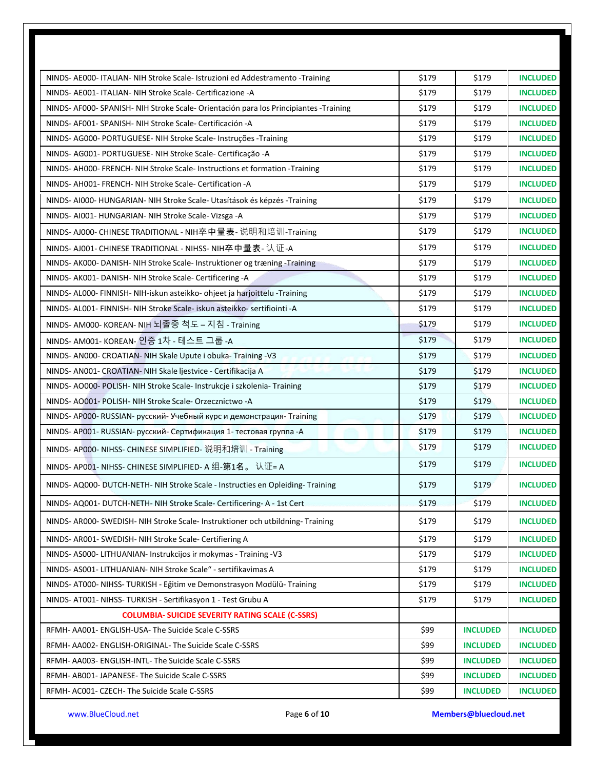| NINDS- AE000- ITALIAN- NIH Stroke Scale- Istruzioni ed Addestramento -Training        | \$179 | \$179           | <b>INCLUDED</b> |
|---------------------------------------------------------------------------------------|-------|-----------------|-----------------|
| NINDS- AE001- ITALIAN- NIH Stroke Scale- Certificazione -A                            | \$179 | \$179           | <b>INCLUDED</b> |
| NINDS- AF000- SPANISH- NIH Stroke Scale- Orientación para los Principiantes -Training | \$179 | \$179           | <b>INCLUDED</b> |
| NINDS- AF001- SPANISH- NIH Stroke Scale- Certificación -A                             | \$179 | \$179           | <b>INCLUDED</b> |
| NINDS-AG000- PORTUGUESE- NIH Stroke Scale- Instruções -Training                       | \$179 | \$179           | <b>INCLUDED</b> |
| NINDS- AG001- PORTUGUESE- NIH Stroke Scale- Certificação -A                           | \$179 | \$179           | <b>INCLUDED</b> |
| NINDS-AH000-FRENCH-NIH Stroke Scale-Instructions et formation -Training               | \$179 | \$179           | <b>INCLUDED</b> |
| NINDS-AH001-FRENCH-NIH Stroke Scale-Certification-A                                   | \$179 | \$179           | <b>INCLUDED</b> |
| NINDS-AI000-HUNGARIAN-NIH Stroke Scale-Utasítások és képzés -Training                 | \$179 | \$179           | <b>INCLUDED</b> |
| NINDS-AI001-HUNGARIAN-NIH Stroke Scale-Vizsga-A                                       | \$179 | \$179           | <b>INCLUDED</b> |
| NINDS-AJ000- CHINESE TRADITIONAL - NIH卒中量表- 说明和培训-Training                            | \$179 | \$179           | <b>INCLUDED</b> |
| NINDS- AJ001- CHINESE TRADITIONAL - NIHSS- NIH卒中量表- 认证-A                              | \$179 | \$179           | <b>INCLUDED</b> |
| NINDS-AK000-DANISH-NIH Stroke Scale-Instruktioner og træning -Training                | \$179 | \$179           | <b>INCLUDED</b> |
| NINDS- AK001- DANISH- NIH Stroke Scale- Certificering -A                              | \$179 | \$179           | <b>INCLUDED</b> |
| NINDS-AL000-FINNISH-NIH-iskun asteikko- ohjeet ja harjoittelu -Training               | \$179 | \$179           | <b>INCLUDED</b> |
| NINDS- AL001- FINNISH- NIH Stroke Scale- iskun asteikko- sertifiointi -A              | \$179 | \$179           | <b>INCLUDED</b> |
| NINDS- AM000- KOREAN- NIH 뇌졸중 척도 – 지침 - Training                                      | \$179 | \$179           | <b>INCLUDED</b> |
| NINDS- AM001- KOREAN- 인증 1차 - 테스트 그룹 -A                                               | \$179 | \$179           | <b>INCLUDED</b> |
| NINDS- ANOOO- CROATIAN- NIH Skale Upute i obuka- Training -V3                         | \$179 | \$179           | <b>INCLUDED</b> |
| NINDS- ANOO1- CROATIAN- NIH Skale ljestvice - Certifikacija A                         | \$179 | \$179           | <b>INCLUDED</b> |
| NINDS- AO000- POLISH- NIH Stroke Scale- Instrukcje i szkolenia- Training              | \$179 | \$179           | <b>INCLUDED</b> |
| NINDS-AO001- POLISH- NIH Stroke Scale- Orzecznictwo -A                                | \$179 | \$179           | <b>INCLUDED</b> |
| NINDS-AP000-RUSSIAN- русский-Учебный курс и демонстрация-Training                     | \$179 | \$179           | <b>INCLUDED</b> |
| NINDS- AP001- RUSSIAN- русский- Сертификация 1- тестовая группа -A                    | \$179 | \$179           | <b>INCLUDED</b> |
| NINDS-AP000-NIHSS-CHINESE SIMPLIFIED- 说明和培训 - Training                                | \$179 | \$179           | <b>INCLUDED</b> |
| NINDS- AP001- NIHSS- CHINESE SIMPLIFIED- A 组-第1名。 认证= A                               | \$179 | \$179           | <b>INCLUDED</b> |
| NINDS- AQ000- DUTCH-NETH- NIH Stroke Scale - Instructies en Opleiding- Training       | \$179 | \$179           | <b>INCLUDED</b> |
| NINDS- AQ001- DUTCH-NETH- NIH Stroke Scale- Certificering- A - 1st Cert               | \$179 | \$179           | <b>INCLUDED</b> |
| NINDS- AR000- SWEDISH- NIH Stroke Scale- Instruktioner och utbildning- Training       | \$179 | \$179           | <b>INCLUDED</b> |
| NINDS- AR001- SWEDISH- NIH Stroke Scale- Certifiering A                               | \$179 | \$179           | <b>INCLUDED</b> |
| NINDS- AS000- LITHUANIAN- Instrukcijos ir mokymas - Training -V3                      | \$179 | \$179           | <b>INCLUDED</b> |
| NINDS- AS001- LITHUANIAN- NIH Stroke Scale" - sertifikavimas A                        | \$179 | \$179           | <b>INCLUDED</b> |
| NINDS-AT000-NIHSS-TURKISH - Eğitim ve Demonstrasyon Modülü-Training                   | \$179 | \$179           | <b>INCLUDED</b> |
| NINDS- AT001- NIHSS- TURKISH - Sertifikasyon 1 - Test Grubu A                         | \$179 | \$179           | <b>INCLUDED</b> |
| <b>COLUMBIA- SUICIDE SEVERITY RATING SCALE (C-SSRS)</b>                               |       |                 |                 |
| RFMH- AA001- ENGLISH-USA- The Suicide Scale C-SSRS                                    | \$99  | <b>INCLUDED</b> | <b>INCLUDED</b> |
| RFMH- AA002- ENGLISH-ORIGINAL- The Suicide Scale C-SSRS                               | \$99  | <b>INCLUDED</b> | <b>INCLUDED</b> |
| RFMH- AA003- ENGLISH-INTL- The Suicide Scale C-SSRS                                   | \$99  | <b>INCLUDED</b> | <b>INCLUDED</b> |
| RFMH- AB001- JAPANESE- The Suicide Scale C-SSRS                                       | \$99  | <b>INCLUDED</b> | <b>INCLUDED</b> |
| RFMH- AC001- CZECH- The Suicide Scale C-SSRS                                          | \$99  | <b>INCLUDED</b> | <b>INCLUDED</b> |
|                                                                                       |       |                 |                 |

[www.BlueCloud.net](http://www.bluecloud.net/) Page **6** of **10 [Members@bluecloud.net](mailto:Members@bluecloud.net)**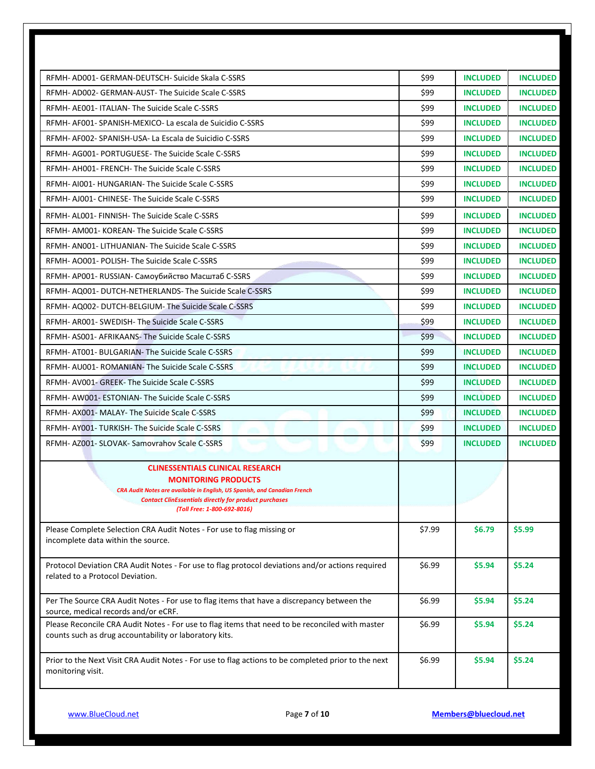| RFMH- AD001- GERMAN-DEUTSCH- Suicide Skala C-SSRS                                                            | \$99   | <b>INCLUDED</b> | <b>INCLUDED</b> |
|--------------------------------------------------------------------------------------------------------------|--------|-----------------|-----------------|
| RFMH- AD002- GERMAN-AUST- The Suicide Scale C-SSRS                                                           | \$99   | <b>INCLUDED</b> | <b>INCLUDED</b> |
| RFMH- AE001- ITALIAN- The Suicide Scale C-SSRS                                                               | \$99   | <b>INCLUDED</b> | <b>INCLUDED</b> |
| RFMH- AF001- SPANISH-MEXICO- La escala de Suicidio C-SSRS                                                    | \$99   | <b>INCLUDED</b> | <b>INCLUDED</b> |
| RFMH- AF002- SPANISH-USA- La Escala de Suicidio C-SSRS                                                       | \$99   | <b>INCLUDED</b> | <b>INCLUDED</b> |
| RFMH- AG001- PORTUGUESE- The Suicide Scale C-SSRS                                                            | \$99   | <b>INCLUDED</b> | <b>INCLUDED</b> |
| RFMH- AH001- FRENCH- The Suicide Scale C-SSRS                                                                | \$99   | <b>INCLUDED</b> | <b>INCLUDED</b> |
| RFMH- AI001- HUNGARIAN- The Suicide Scale C-SSRS                                                             | \$99   | <b>INCLUDED</b> | <b>INCLUDED</b> |
| RFMH- AJ001- CHINESE- The Suicide Scale C-SSRS                                                               | \$99   | <b>INCLUDED</b> | <b>INCLUDED</b> |
| RFMH-AL001-FINNISH-The Suicide Scale C-SSRS                                                                  | \$99   | <b>INCLUDED</b> | <b>INCLUDED</b> |
| RFMH- AM001- KOREAN- The Suicide Scale C-SSRS                                                                | \$99   | <b>INCLUDED</b> | <b>INCLUDED</b> |
| RFMH- AN001- LITHUANIAN- The Suicide Scale C-SSRS                                                            | \$99   | <b>INCLUDED</b> | <b>INCLUDED</b> |
| RFMH-AO001-POLISH-The Suicide Scale C-SSRS                                                                   | \$99   | <b>INCLUDED</b> | <b>INCLUDED</b> |
| RFMH- AP001- RUSSIAN- Самоубийство Масштаб C-SSRS                                                            | \$99   | <b>INCLUDED</b> | <b>INCLUDED</b> |
| RFMH- AQ001- DUTCH-NETHERLANDS- The Suicide Scale C-SSRS                                                     | \$99   | <b>INCLUDED</b> | <b>INCLUDED</b> |
| RFMH- AQ002- DUTCH-BELGIUM- The Suicide Scale C-SSRS                                                         | \$99   | <b>INCLUDED</b> | <b>INCLUDED</b> |
| RFMH- AR001- SWEDISH- The Suicide Scale C-SSRS                                                               | \$99   | <b>INCLUDED</b> | <b>INCLUDED</b> |
| RFMH- AS001- AFRIKAANS- The Suicide Scale C-SSRS                                                             | \$99   | <b>INCLUDED</b> | <b>INCLUDED</b> |
| RFMH- AT001- BULGARIAN- The Suicide Scale C-SSRS                                                             | \$99   | <b>INCLUDED</b> | <b>INCLUDED</b> |
| RFMH- AU001- ROMANIAN- The Suicide Scale C-SSRS                                                              | \$99   | <b>INCLUDED</b> | <b>INCLUDED</b> |
| RFMH-AV001- GREEK-The Suicide Scale C-SSRS                                                                   | \$99   | <b>INCLUDED</b> | <b>INCLUDED</b> |
| RFMH-AW001-ESTONIAN-The Suicide Scale C-SSRS                                                                 | \$99   | <b>INCLUDED</b> | <b>INCLUDED</b> |
| RFMH-AX001- MALAY-The Suicide Scale C-SSRS                                                                   | \$99   | <b>INCLUDED</b> | <b>INCLUDED</b> |
| RFMH-AY001-TURKISH-The Suicide Scale C-SSRS                                                                  | \$99   | <b>INCLUDED</b> | <b>INCLUDED</b> |
| RFMH- AZ001- SLOVAK- Samovrahov Scale C-SSRS                                                                 | \$99   | <b>INCLUDED</b> | <b>INCLUDED</b> |
|                                                                                                              |        |                 |                 |
| <b>CLINESSENTIALS CLINICAL RESEARCH</b><br><b>MONITORING PRODUCTS</b>                                        |        |                 |                 |
| CRA Audit Notes are available in English, US Spanish, and Canadian French                                    |        |                 |                 |
| <b>Contact ClinEssentials directly for product purchases</b><br>(Toll Free: 1-800-692-8016)                  |        |                 |                 |
|                                                                                                              |        |                 |                 |
| Please Complete Selection CRA Audit Notes - For use to flag missing or<br>incomplete data within the source. | \$7.99 | \$6.79          | \$5.99          |
|                                                                                                              |        |                 |                 |
| Protocol Deviation CRA Audit Notes - For use to flag protocol deviations and/or actions required             | \$6.99 | \$5.94          | \$5.24          |
| related to a Protocol Deviation.                                                                             |        |                 |                 |
| Per The Source CRA Audit Notes - For use to flag items that have a discrepancy between the                   | \$6.99 | \$5.94          | \$5.24          |
| source, medical records and/or eCRF.                                                                         |        |                 |                 |
| Please Reconcile CRA Audit Notes - For use to flag items that need to be reconciled with master              | \$6.99 | \$5.94          | \$5.24          |
| counts such as drug accountability or laboratory kits.                                                       |        |                 |                 |
| Prior to the Next Visit CRA Audit Notes - For use to flag actions to be completed prior to the next          | \$6.99 | \$5.94          | \$5.24          |
| monitoring visit.                                                                                            |        |                 |                 |
|                                                                                                              |        |                 |                 |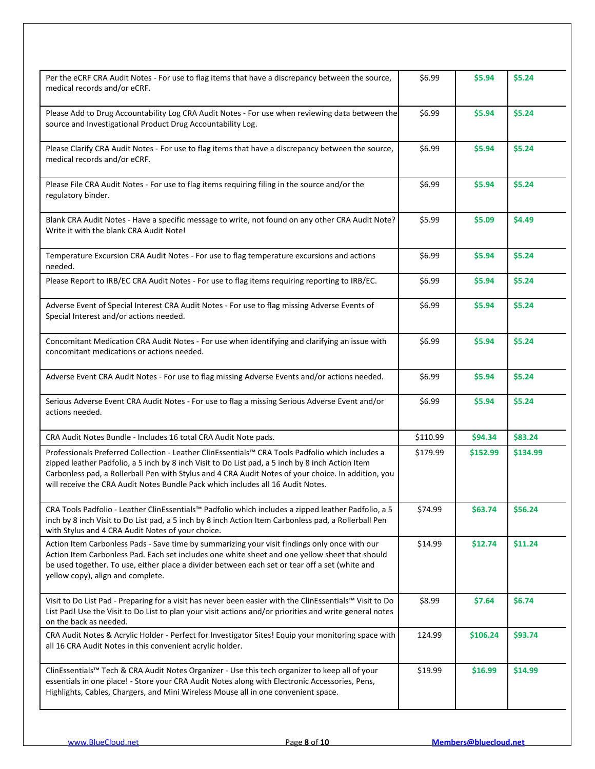| Per the eCRF CRA Audit Notes - For use to flag items that have a discrepancy between the source,<br>medical records and/or eCRF.                                                                                                                                                                                                                                                               | \$6.99   | \$5.94   | \$5.24   |
|------------------------------------------------------------------------------------------------------------------------------------------------------------------------------------------------------------------------------------------------------------------------------------------------------------------------------------------------------------------------------------------------|----------|----------|----------|
| Please Add to Drug Accountability Log CRA Audit Notes - For use when reviewing data between the<br>source and Investigational Product Drug Accountability Log.                                                                                                                                                                                                                                 | \$6.99   | \$5.94   | \$5.24   |
| Please Clarify CRA Audit Notes - For use to flag items that have a discrepancy between the source,<br>medical records and/or eCRF.                                                                                                                                                                                                                                                             | \$6.99   | \$5.94   | \$5.24   |
| Please File CRA Audit Notes - For use to flag items requiring filing in the source and/or the<br>regulatory binder.                                                                                                                                                                                                                                                                            | \$6.99   | \$5.94   | \$5.24   |
| Blank CRA Audit Notes - Have a specific message to write, not found on any other CRA Audit Note?<br>Write it with the blank CRA Audit Note!                                                                                                                                                                                                                                                    | \$5.99   | \$5.09   | \$4.49   |
| Temperature Excursion CRA Audit Notes - For use to flag temperature excursions and actions<br>needed.                                                                                                                                                                                                                                                                                          | \$6.99   | \$5.94   | \$5.24   |
| Please Report to IRB/EC CRA Audit Notes - For use to flag items requiring reporting to IRB/EC.                                                                                                                                                                                                                                                                                                 | \$6.99   | \$5.94   | \$5.24   |
| Adverse Event of Special Interest CRA Audit Notes - For use to flag missing Adverse Events of<br>Special Interest and/or actions needed.                                                                                                                                                                                                                                                       | \$6.99   | \$5.94   | \$5.24   |
| Concomitant Medication CRA Audit Notes - For use when identifying and clarifying an issue with<br>concomitant medications or actions needed.                                                                                                                                                                                                                                                   | \$6.99   | \$5.94   | \$5.24   |
| Adverse Event CRA Audit Notes - For use to flag missing Adverse Events and/or actions needed.                                                                                                                                                                                                                                                                                                  | \$6.99   | \$5.94   | \$5.24   |
| Serious Adverse Event CRA Audit Notes - For use to flag a missing Serious Adverse Event and/or<br>actions needed.                                                                                                                                                                                                                                                                              | \$6.99   | \$5.94   | \$5.24   |
| CRA Audit Notes Bundle - Includes 16 total CRA Audit Note pads.                                                                                                                                                                                                                                                                                                                                | \$110.99 | \$94.34  | \$83.24  |
| Professionals Preferred Collection - Leather ClinEssentials™ CRA Tools Padfolio which includes a<br>zipped leather Padfolio, a 5 inch by 8 inch Visit to Do List pad, a 5 inch by 8 inch Action Item<br>Carbonless pad, a Rollerball Pen with Stylus and 4 CRA Audit Notes of your choice. In addition, you<br>will receive the CRA Audit Notes Bundle Pack which includes all 16 Audit Notes. | \$179.99 | \$152.99 | \$134.99 |
| CRA Tools Padfolio - Leather ClinEssentials™ Padfolio which includes a zipped leather Padfolio, a 5<br>inch by 8 inch Visit to Do List pad, a 5 inch by 8 inch Action Item Carbonless pad, a Rollerball Pen<br>with Stylus and 4 CRA Audit Notes of your choice.                                                                                                                               | \$74.99  | \$63.74  | \$56.24  |
| Action Item Carbonless Pads - Save time by summarizing your visit findings only once with our<br>Action Item Carbonless Pad. Each set includes one white sheet and one yellow sheet that should<br>be used together. To use, either place a divider between each set or tear off a set (white and<br>yellow copy), align and complete.                                                         | \$14.99  | \$12.74  | \$11.24  |
| Visit to Do List Pad - Preparing for a visit has never been easier with the ClinEssentials™ Visit to Do<br>List Pad! Use the Visit to Do List to plan your visit actions and/or priorities and write general notes<br>on the back as needed.                                                                                                                                                   | \$8.99   | \$7.64   | \$6.74   |
| CRA Audit Notes & Acrylic Holder - Perfect for Investigator Sites! Equip your monitoring space with<br>all 16 CRA Audit Notes in this convenient acrylic holder.                                                                                                                                                                                                                               | 124.99   | \$106.24 | \$93.74  |
| ClinEssentials™ Tech & CRA Audit Notes Organizer - Use this tech organizer to keep all of your<br>essentials in one place! - Store your CRA Audit Notes along with Electronic Accessories, Pens,<br>Highlights, Cables, Chargers, and Mini Wireless Mouse all in one convenient space.                                                                                                         | \$19.99  | \$16.99  | \$14.99  |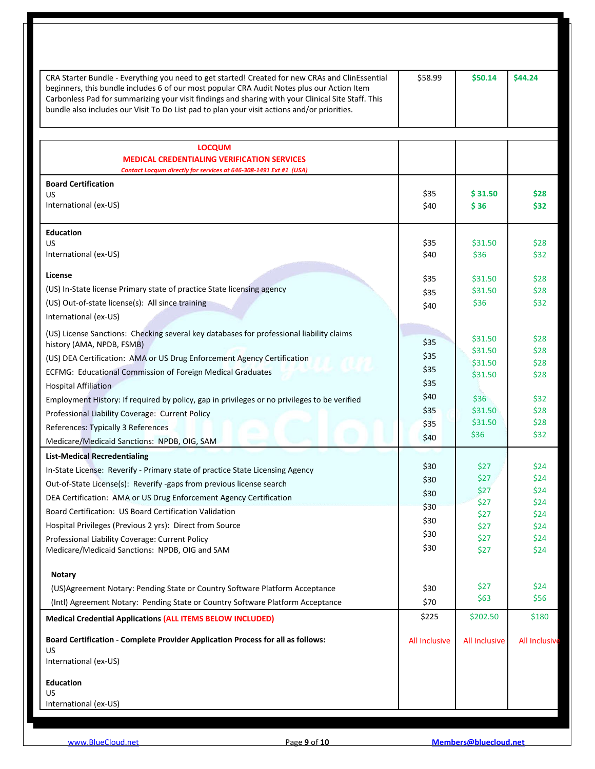| CRA Starter Bundle - Everything you need to get started! Created for new CRAs and ClinEssential<br>beginners, this bundle includes 6 of our most popular CRA Audit Notes plus our Action Item<br>Carbonless Pad for summarizing your visit findings and sharing with your Clinical Site Staff. This<br>bundle also includes our Visit To Do List pad to plan your visit actions and/or priorities. | \$58.99              | \$50.14              | \$44.24              |
|----------------------------------------------------------------------------------------------------------------------------------------------------------------------------------------------------------------------------------------------------------------------------------------------------------------------------------------------------------------------------------------------------|----------------------|----------------------|----------------------|
|                                                                                                                                                                                                                                                                                                                                                                                                    |                      |                      |                      |
| <b>LOCQUM</b><br><b>MEDICAL CREDENTIALING VERIFICATION SERVICES</b><br>Contact Locqum directly for services at 646-308-1491 Ext #1 (USA)                                                                                                                                                                                                                                                           |                      |                      |                      |
| <b>Board Certification</b>                                                                                                                                                                                                                                                                                                                                                                         |                      |                      |                      |
| <b>US</b>                                                                                                                                                                                                                                                                                                                                                                                          | \$35                 | \$31.50              | \$28                 |
| International (ex-US)                                                                                                                                                                                                                                                                                                                                                                              | \$40                 | \$36                 | \$32                 |
| <b>Education</b>                                                                                                                                                                                                                                                                                                                                                                                   |                      |                      |                      |
| US.                                                                                                                                                                                                                                                                                                                                                                                                | \$35                 | \$31.50              | \$28                 |
| International (ex-US)                                                                                                                                                                                                                                                                                                                                                                              | \$40                 | \$36                 | \$32                 |
| License                                                                                                                                                                                                                                                                                                                                                                                            | \$35                 | \$31.50              | \$28                 |
| (US) In-State license Primary state of practice State licensing agency                                                                                                                                                                                                                                                                                                                             | \$35                 | \$31.50              | \$28                 |
| (US) Out-of-state license(s): All since training                                                                                                                                                                                                                                                                                                                                                   | \$40                 | \$36                 | \$32                 |
| International (ex-US)                                                                                                                                                                                                                                                                                                                                                                              |                      |                      |                      |
| (US) License Sanctions: Checking several key databases for professional liability claims                                                                                                                                                                                                                                                                                                           |                      |                      |                      |
| history (AMA, NPDB, FSMB)                                                                                                                                                                                                                                                                                                                                                                          | \$35                 | \$31.50<br>\$31.50   | \$28<br>\$28         |
| (US) DEA Certification: AMA or US Drug Enforcement Agency Certification                                                                                                                                                                                                                                                                                                                            | \$35                 | \$31.50              | \$28                 |
| ECFMG: Educational Commission of Foreign Medical Graduates                                                                                                                                                                                                                                                                                                                                         | \$35                 | \$31.50              | \$28                 |
| <b>Hospital Affiliation</b>                                                                                                                                                                                                                                                                                                                                                                        | \$35                 |                      |                      |
| Employment History: If required by policy, gap in privileges or no privileges to be verified                                                                                                                                                                                                                                                                                                       | \$40                 | \$36                 | \$32                 |
| Professional Liability Coverage: Current Policy                                                                                                                                                                                                                                                                                                                                                    | \$35                 | \$31.50              | \$28                 |
| References: Typically 3 References                                                                                                                                                                                                                                                                                                                                                                 | \$35                 | \$31.50              | \$28                 |
| Medicare/Medicaid Sanctions: NPDB, OIG, SAM                                                                                                                                                                                                                                                                                                                                                        | \$40                 | \$36                 | \$32                 |
| <b>List-Medical Recredentialing</b>                                                                                                                                                                                                                                                                                                                                                                |                      |                      |                      |
| In-State License: Reverify - Primary state of practice State Licensing Agency                                                                                                                                                                                                                                                                                                                      | \$30                 | \$27                 | \$24                 |
| Out-of-State License(s): Reverify -gaps from previous license search                                                                                                                                                                                                                                                                                                                               | \$30                 | \$27                 | \$24                 |
| DEA Certification: AMA or US Drug Enforcement Agency Certification                                                                                                                                                                                                                                                                                                                                 | \$30                 | \$27                 | \$24                 |
| Board Certification: US Board Certification Validation                                                                                                                                                                                                                                                                                                                                             | \$30                 | \$27<br>\$27         | \$24<br>\$24         |
| Hospital Privileges (Previous 2 yrs): Direct from Source                                                                                                                                                                                                                                                                                                                                           | \$30                 | \$27                 | \$24                 |
| Professional Liability Coverage: Current Policy                                                                                                                                                                                                                                                                                                                                                    | \$30                 | \$27                 | \$24                 |
| Medicare/Medicaid Sanctions: NPDB, OIG and SAM                                                                                                                                                                                                                                                                                                                                                     | \$30                 | \$27                 | \$24                 |
| <b>Notary</b>                                                                                                                                                                                                                                                                                                                                                                                      |                      |                      |                      |
| (US) Agreement Notary: Pending State or Country Software Platform Acceptance                                                                                                                                                                                                                                                                                                                       | \$30                 | \$27                 | \$24                 |
| (Intl) Agreement Notary: Pending State or Country Software Platform Acceptance                                                                                                                                                                                                                                                                                                                     | \$70                 | \$63                 | \$56                 |
| <b>Medical Credential Applications (ALL ITEMS BELOW INCLUDED)</b>                                                                                                                                                                                                                                                                                                                                  | \$225                | \$202.50             | \$180                |
| Board Certification - Complete Provider Application Process for all as follows:                                                                                                                                                                                                                                                                                                                    | <b>All Inclusive</b> | <b>All Inclusive</b> | <b>All Inclusive</b> |
| US.<br>International (ex-US)                                                                                                                                                                                                                                                                                                                                                                       |                      |                      |                      |
| <b>Education</b>                                                                                                                                                                                                                                                                                                                                                                                   |                      |                      |                      |
| US.                                                                                                                                                                                                                                                                                                                                                                                                |                      |                      |                      |
| International (ex-US)                                                                                                                                                                                                                                                                                                                                                                              |                      |                      |                      |